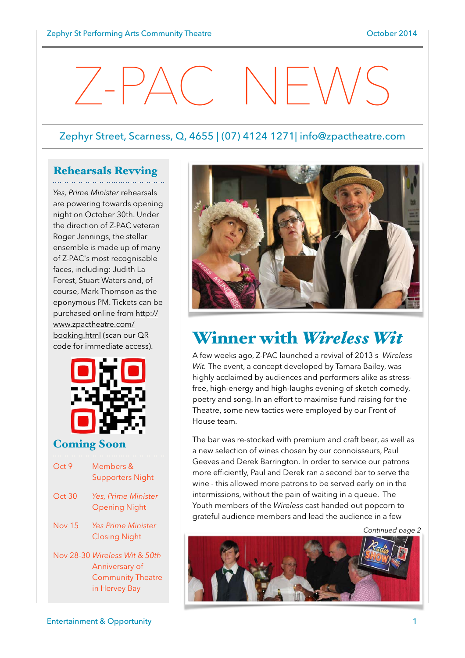# $\angle$ -PAC NEWS

#### Zephyr Street, Scarness, Q, 4655 | (07) 4124 1271| [info@zpactheatre.com](mailto:info@zpactheatre.com)

#### Rehearsals Revving

*Yes, Prime Minister* rehearsals are powering towards opening night on October 30th. Under the direction of Z-PAC veteran Roger Jennings, the stellar ensemble is made up of many of Z-PAC's most recognisable faces, including: Judith La Forest, Stuart Waters and, of course, Mark Thomson as the eponymous PM. Tickets can be [purchased online from http://](http://www.zpactheatre.com/booking.html) www.zpactheatre.com/ booking.html (scan our QR code for immediate access).



#### Coming Soon

| Oct9          | Members &<br><b>Supporters Night</b>                                                         |
|---------------|----------------------------------------------------------------------------------------------|
| Oct30         | Yes, Prime Minister<br><b>Opening Night</b>                                                  |
| <b>Nov 15</b> | <b>Yes Prime Minister</b><br><b>Closing Night</b>                                            |
|               | Nov 28-30 Wireless Wit & 50th<br>Anniversary of<br><b>Community Theatre</b><br>in Hervey Bay |



# Winner with *Wireless Wit*

A few weeks ago, Z-PAC launched a revival of 2013's *Wireless Wit.* The event, a concept developed by Tamara Bailey, was highly acclaimed by audiences and performers alike as stressfree, high-energy and high-laughs evening of sketch comedy, poetry and song. In an effort to maximise fund raising for the Theatre, some new tactics were employed by our Front of House team.

The bar was re-stocked with premium and craft beer, as well as a new selection of wines chosen by our connoisseurs, Paul Geeves and Derek Barrington. In order to service our patrons more efficiently, Paul and Derek ran a second bar to serve the wine - this allowed more patrons to be served early on in the intermissions, without the pain of waiting in a queue. The Youth members of the *Wireless* cast handed out popcorn to grateful audience members and lead the audience in a few

*Continued page 2*

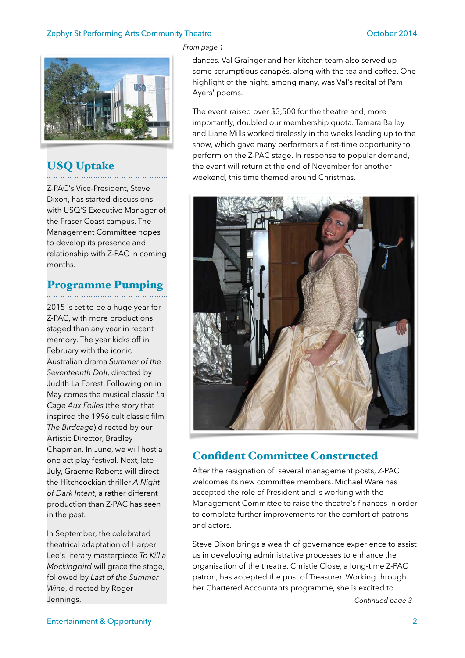#### Zephyr St Performing Arts Community Theatre **Community Theatre** Controller Controller 2014



## USQ Uptake

Z-PAC's Vice-President, Steve Dixon, has started discussions with USQ'S Executive Manager of the Fraser Coast campus. The Management Committee hopes to develop its presence and relationship with Z-PAC in coming months.

### Programme Pumping

2015 is set to be a huge year for Z-PAC, with more productions staged than any year in recent memory. The year kicks off in February with the iconic Australian drama *Summer of the Seventeenth Doll*, directed by Judith La Forest. Following on in May comes the musical classic *La Cage Aux Folles* (the story that inspired the 1996 cult classic film, *The Birdcage*) directed by our Artistic Director, Bradley Chapman. In June, we will host a one act play festival. Next, late July, Graeme Roberts will direct the Hitchcockian thriller *A Night of Dark Intent*, a rather different production than Z-PAC has seen in the past.

In September, the celebrated theatrical adaptation of Harper Lee's literary masterpiece *To Kill a Mockingbird* will grace the stage, followed by *Last of the Summer Wine*, directed by Roger Jennings.

#### *From page 1*

dances. Val Grainger and her kitchen team also served up some scrumptious canapés, along with the tea and coffee. One highlight of the night, among many, was Val's recital of Pam Ayers' poems.

The event raised over \$3,500 for the theatre and, more importantly, doubled our membership quota. Tamara Bailey and Liane Mills worked tirelessly in the weeks leading up to the show, which gave many performers a first-time opportunity to perform on the Z-PAC stage. In response to popular demand, the event will return at the end of November for another weekend, this time themed around Christmas.



#### Confident Committee Constructed

After the resignation of several management posts, Z-PAC welcomes its new committee members. Michael Ware has accepted the role of President and is working with the Management Committee to raise the theatre's finances in order to complete further improvements for the comfort of patrons and actors.

Steve Dixon brings a wealth of governance experience to assist us in developing administrative processes to enhance the organisation of the theatre. Christie Close, a long-time Z-PAC patron, has accepted the post of Treasurer. Working through her Chartered Accountants programme, she is excited to

*Continued page 3*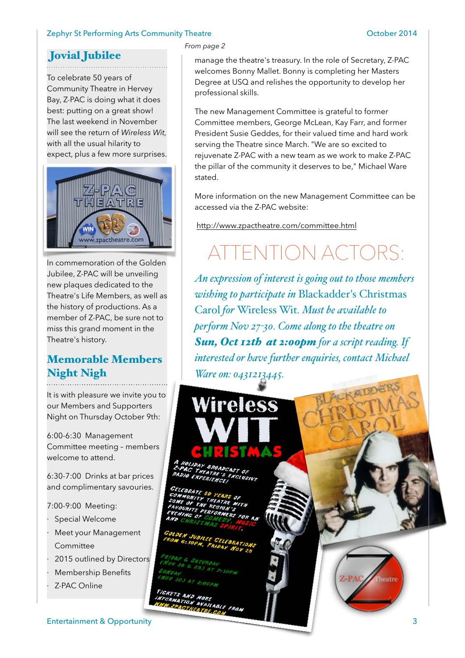#### Zephyr St Performing Arts Community Theatre **Community Theatre Community Theatre** Community Theatre Community Theatre Community Theatre Community Theatre Community Theatre Community Theatre Community Theatre Community Thea

## Jovial Jubilee

To celebrate 50 years of Community Theatre in Hervey Bay, Z-PAC is doing what it does best: putting on a great show! The last weekend in November will see the return of *Wireless Wit,*  with all the usual hilarity to expect, plus a few more surprises.



In commemoration of the Golden Jubilee, Z-PAC will be unveiling new plaques dedicated to the Theatre's Life Members, as well as the history of productions. As a member of Z-PAC, be sure not to miss this grand moment in the Theatre's history.

### Memorable Members Night Nigh

It is with pleasure we invite you to our Members and Supporters Night on Thursday October 9th:

6:00-6:30 Management Committee meeting – members welcome to attend.

6:30-7:00 Drinks at bar prices and complimentary savouries.

7:00-9:00 Meeting:

- Special Welcome
- Meet your Management Committee
- 2015 outlined by Directors
- Membership Benefits
- Z-PAC Online

Entertainment & Opportunity 3

#### *From page 2*

manage the theatre's treasury. In the role of Secretary, Z-PAC welcomes Bonny Mallet. Bonny is completing her Masters Degree at USQ and relishes the opportunity to develop her professional skills.

The new Management Committee is grateful to former Committee members, George McLean, Kay Farr, and former President Susie Geddes, for their valued time and hard work serving the Theatre since March. "We are so excited to rejuvenate Z-PAC with a new team as we work to make Z-PAC the pillar of the community it deserves to be," Michael Ware stated.

More information on the new Management Committee can be accessed via the Z-PAC website:

<http://www.zpactheatre.com/committee.html>

# TENTION ACTO

*An expression of interest is going out to those members wishing to participate in* Blackadder's Christmas Carol *for* Wireless Wit*. Must be available to perform Nov 27-30. Come along to the theatre on Sun, Oct 12th at 2:00pm for a script reading. If interested or have further enquiries, contact Michael Ware on: 0431213445.*